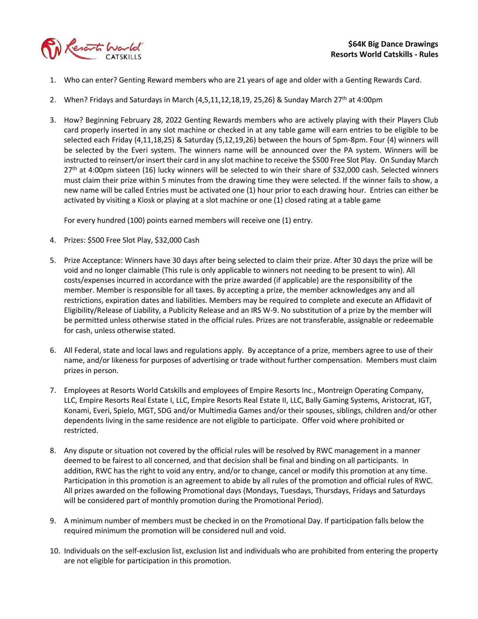

- 1. Who can enter? Genting Reward members who are 21 years of age and older with a Genting Rewards Card.
- 2. When? Fridays and Saturdays in March (4,5,11,12,18,19, 25,26) & Sunday March 27<sup>th</sup> at 4:00pm
- 3. How? Beginning February 28, 2022 Genting Rewards members who are actively playing with their Players Club card properly inserted in any slot machine or checked in at any table game will earn entries to be eligible to be selected each Friday (4,11,18,25) & Saturday (5,12,19,26) between the hours of 5pm-8pm. Four (4) winners will be selected by the Everi system. The winners name will be announced over the PA system. Winners will be instructed to reinsert/or insert their card in any slot machine to receive the \$500 Free Slot Play. On Sunday March 27<sup>th</sup> at 4:00pm sixteen (16) lucky winners will be selected to win their share of \$32,000 cash. Selected winners must claim their prize within 5 minutes from the drawing time they were selected. If the winner fails to show, a new name will be called Entries must be activated one (1) hour prior to each drawing hour. Entries can either be activated by visiting a Kiosk or playing at a slot machine or one (1) closed rating at a table game

For every hundred (100) points earned members will receive one (1) entry.

- 4. Prizes: \$500 Free Slot Play, \$32,000 Cash
- 5. Prize Acceptance: Winners have 30 days after being selected to claim their prize. After 30 days the prize will be void and no longer claimable (This rule is only applicable to winners not needing to be present to win). All costs/expenses incurred in accordance with the prize awarded (if applicable) are the responsibility of the member. Member is responsible for all taxes. By accepting a prize, the member acknowledges any and all restrictions, expiration dates and liabilities. Members may be required to complete and execute an Affidavit of Eligibility/Release of Liability, a Publicity Release and an IRS W-9. No substitution of a prize by the member will be permitted unless otherwise stated in the official rules. Prizes are not transferable, assignable or redeemable for cash, unless otherwise stated.
- 6. All Federal, state and local laws and regulations apply. By acceptance of a prize, members agree to use of their name, and/or likeness for purposes of advertising or trade without further compensation. Members must claim prizes in person.
- 7. Employees at Resorts World Catskills and employees of Empire Resorts Inc., Montreign Operating Company, LLC, Empire Resorts Real Estate I, LLC, Empire Resorts Real Estate II, LLC, Bally Gaming Systems, Aristocrat, IGT, Konami, Everi, Spielo, MGT, SDG and/or Multimedia Games and/or their spouses, siblings, children and/or other dependents living in the same residence are not eligible to participate. Offer void where prohibited or restricted.
- 8. Any dispute or situation not covered by the official rules will be resolved by RWC management in a manner deemed to be fairest to all concerned, and that decision shall be final and binding on all participants. In addition, RWC has the right to void any entry, and/or to change, cancel or modify this promotion at any time. Participation in this promotion is an agreement to abide by all rules of the promotion and official rules of RWC. All prizes awarded on the following Promotional days (Mondays, Tuesdays, Thursdays, Fridays and Saturdays will be considered part of monthly promotion during the Promotional Period).
- 9. A minimum number of members must be checked in on the Promotional Day. If participation falls below the required minimum the promotion will be considered null and void.
- 10. Individuals on the self-exclusion list, exclusion list and individuals who are prohibited from entering the property are not eligible for participation in this promotion.